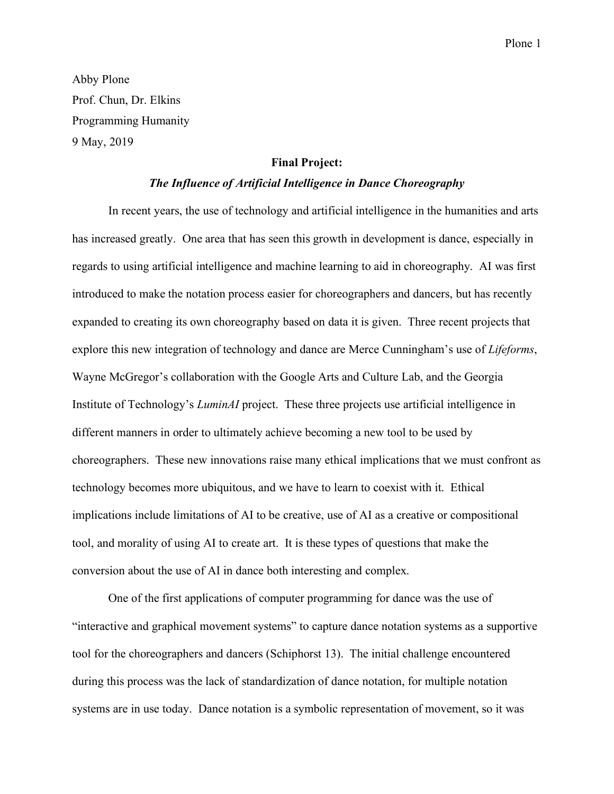Abby Plone Prof. Chun, Dr. Elkins Programming Humanity 9 May, 2019

## **Final Project:**

## *The Influence of Artificial Intelligence in Dance Choreography*

In recent years, the use of technology and artificial intelligence in the humanities and arts has increased greatly. One area that has seen this growth in development is dance, especially in regards to using artificial intelligence and machine learning to aid in choreography. AI was first introduced to make the notation process easier for choreographers and dancers, but has recently expanded to creating its own choreography based on data it is given. Three recent projects that explore this new integration of technology and dance are Merce Cunningham's use of *Lifeforms*, Wayne McGregor's collaboration with the Google Arts and Culture Lab, and the Georgia Institute of Technology's *LuminAI* project. These three projects use artificial intelligence in different manners in order to ultimately achieve becoming a new tool to be used by choreographers. These new innovations raise many ethical implications that we must confront as technology becomes more ubiquitous, and we have to learn to coexist with it. Ethical implications include limitations of AI to be creative, use of AI as a creative or compositional tool, and morality of using AI to create art. It is these types of questions that make the conversion about the use of AI in dance both interesting and complex.

One of the first applications of computer programming for dance was the use of "interactive and graphical movement systems" to capture dance notation systems as a supportive tool for the choreographers and dancers (Schiphorst 13). The initial challenge encountered during this process was the lack of standardization of dance notation, for multiple notation systems are in use today. Dance notation is a symbolic representation of movement, so it was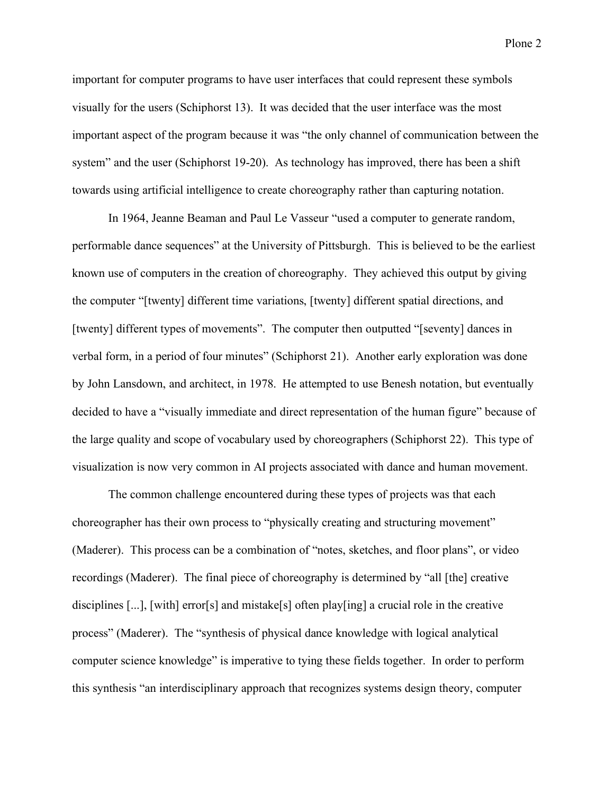important for computer programs to have user interfaces that could represent these symbols visually for the users (Schiphorst 13). It was decided that the user interface was the most important aspect of the program because it was "the only channel of communication between the system" and the user (Schiphorst 19-20). As technology has improved, there has been a shift towards using artificial intelligence to create choreography rather than capturing notation.

In 1964, Jeanne Beaman and Paul Le Vasseur "used a computer to generate random, performable dance sequences" at the University of Pittsburgh. This is believed to be the earliest known use of computers in the creation of choreography. They achieved this output by giving the computer "[twenty] different time variations, [twenty] different spatial directions, and [twenty] different types of movements". The computer then outputted "[seventy] dances in verbal form, in a period of four minutes" (Schiphorst 21). Another early exploration was done by John Lansdown, and architect, in 1978. He attempted to use Benesh notation, but eventually decided to have a "visually immediate and direct representation of the human figure" because of the large quality and scope of vocabulary used by choreographers (Schiphorst 22). This type of visualization is now very common in AI projects associated with dance and human movement.

The common challenge encountered during these types of projects was that each choreographer has their own process to "physically creating and structuring movement" (Maderer). This process can be a combination of "notes, sketches, and floor plans", or video recordings (Maderer). The final piece of choreography is determined by "all [the] creative disciplines [...], [with] error[s] and mistake[s] often play[ing] a crucial role in the creative process" (Maderer). The "synthesis of physical dance knowledge with logical analytical computer science knowledge" is imperative to tying these fields together. In order to perform this synthesis "an interdisciplinary approach that recognizes systems design theory, computer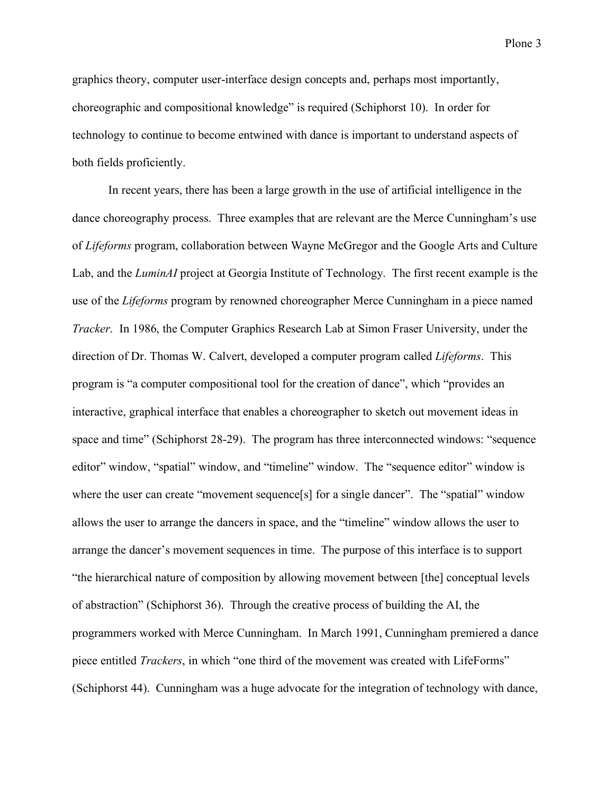graphics theory, computer user-interface design concepts and, perhaps most importantly, choreographic and compositional knowledge" is required (Schiphorst 10). In order for technology to continue to become entwined with dance is important to understand aspects of both fields proficiently.

In recent years, there has been a large growth in the use of artificial intelligence in the dance choreography process. Three examples that are relevant are the Merce Cunningham's use of *Lifeforms* program, collaboration between Wayne McGregor and the Google Arts and Culture Lab, and the *LuminAI* project at Georgia Institute of Technology. The first recent example is the use of the *Lifeforms* program by renowned choreographer Merce Cunningham in a piece named *Tracker*. In 1986, the Computer Graphics Research Lab at Simon Fraser University, under the direction of Dr. Thomas W. Calvert, developed a computer program called *Lifeforms*. This program is "a computer compositional tool for the creation of dance", which "provides an interactive, graphical interface that enables a choreographer to sketch out movement ideas in space and time" (Schiphorst 28-29). The program has three interconnected windows: "sequence editor" window, "spatial" window, and "timeline" window. The "sequence editor" window is where the user can create "movement sequence[s] for a single dancer". The "spatial" window allows the user to arrange the dancers in space, and the "timeline" window allows the user to arrange the dancer's movement sequences in time. The purpose of this interface is to support "the hierarchical nature of composition by allowing movement between [the] conceptual levels of abstraction" (Schiphorst 36). Through the creative process of building the AI, the programmers worked with Merce Cunningham. In March 1991, Cunningham premiered a dance piece entitled *Trackers*, in which "one third of the movement was created with LifeForms" (Schiphorst 44). Cunningham was a huge advocate for the integration of technology with dance,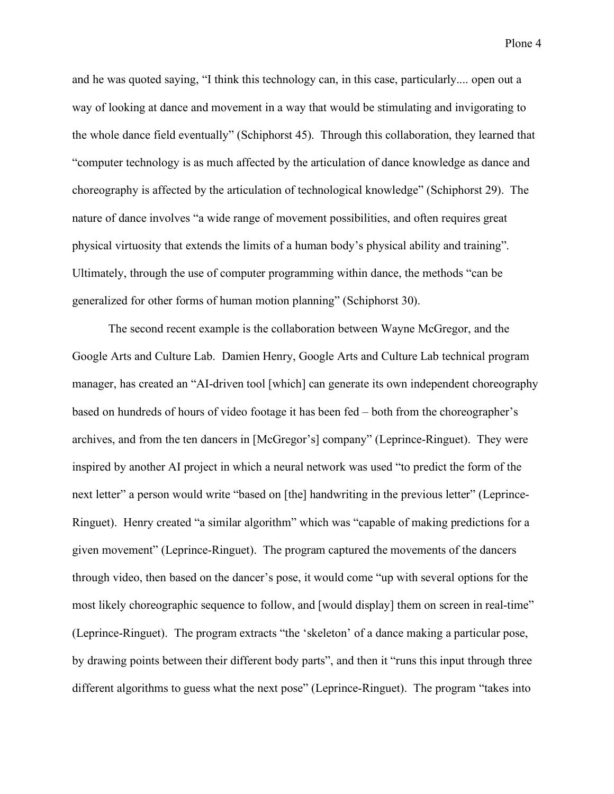Plone 4

and he was quoted saying, "I think this technology can, in this case, particularly.... open out a way of looking at dance and movement in a way that would be stimulating and invigorating to the whole dance field eventually" (Schiphorst 45). Through this collaboration, they learned that "computer technology is as much affected by the articulation of dance knowledge as dance and choreography is affected by the articulation of technological knowledge" (Schiphorst 29). The nature of dance involves "a wide range of movement possibilities, and often requires great physical virtuosity that extends the limits of a human body's physical ability and training". Ultimately, through the use of computer programming within dance, the methods "can be generalized for other forms of human motion planning" (Schiphorst 30).

The second recent example is the collaboration between Wayne McGregor, and the Google Arts and Culture Lab. Damien Henry, Google Arts and Culture Lab technical program manager, has created an "AI-driven tool [which] can generate its own independent choreography based on hundreds of hours of video footage it has been fed – both from the choreographer's archives, and from the ten dancers in [McGregor's] company" (Leprince-Ringuet). They were inspired by another AI project in which a neural network was used "to predict the form of the next letter" a person would write "based on [the] handwriting in the previous letter" (Leprince-Ringuet). Henry created "a similar algorithm" which was "capable of making predictions for a given movement" (Leprince-Ringuet). The program captured the movements of the dancers through video, then based on the dancer's pose, it would come "up with several options for the most likely choreographic sequence to follow, and [would display] them on screen in real-time" (Leprince-Ringuet). The program extracts "the 'skeleton' of a dance making a particular pose, by drawing points between their different body parts", and then it "runs this input through three different algorithms to guess what the next pose" (Leprince-Ringuet). The program "takes into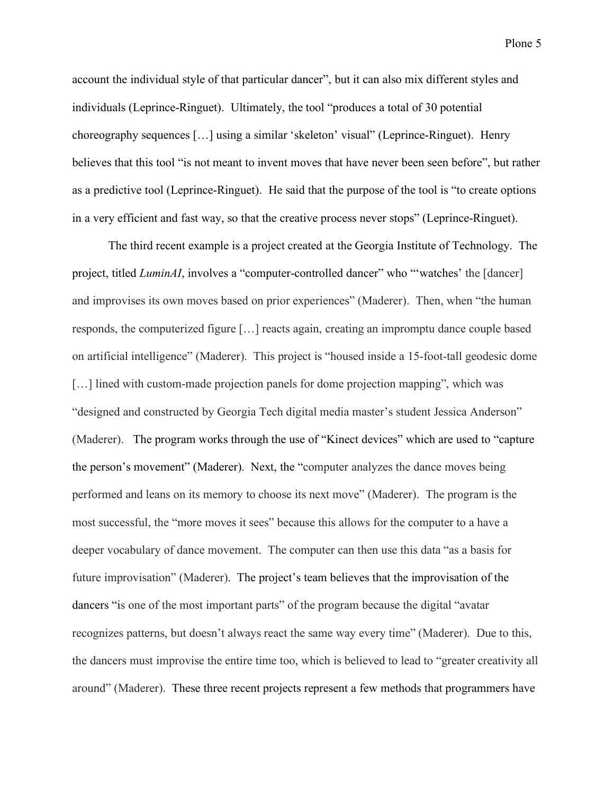account the individual style of that particular dancer", but it can also mix different styles and individuals (Leprince-Ringuet). Ultimately, the tool "produces a total of 30 potential choreography sequences […] using a similar 'skeleton' visual" (Leprince-Ringuet). Henry believes that this tool "is not meant to invent moves that have never been seen before", but rather as a predictive tool (Leprince-Ringuet). He said that the purpose of the tool is "to create options in a very efficient and fast way, so that the creative process never stops" (Leprince-Ringuet).

The third recent example is a project created at the Georgia Institute of Technology. The project, titled *LuminAI*, involves a "computer-controlled dancer" who ""watches' the [dancer] and improvises its own moves based on prior experiences" (Maderer). Then, when "the human responds, the computerized figure […] reacts again, creating an impromptu dance couple based on artificial intelligence" (Maderer). This project is "housed inside a 15-foot-tall geodesic dome [...] lined with custom-made projection panels for dome projection mapping", which was "designed and constructed by Georgia Tech digital media master's student Jessica Anderson" (Maderer). The program works through the use of "Kinect devices" which are used to "capture the person's movement" (Maderer). Next, the "computer analyzes the dance moves being performed and leans on its memory to choose its next move" (Maderer). The program is the most successful, the "more moves it sees" because this allows for the computer to a have a deeper vocabulary of dance movement. The computer can then use this data "as a basis for future improvisation" (Maderer). The project's team believes that the improvisation of the dancers "is one of the most important parts" of the program because the digital "avatar recognizes patterns, but doesn't always react the same way every time" (Maderer). Due to this, the dancers must improvise the entire time too, which is believed to lead to "greater creativity all around" (Maderer). These three recent projects represent a few methods that programmers have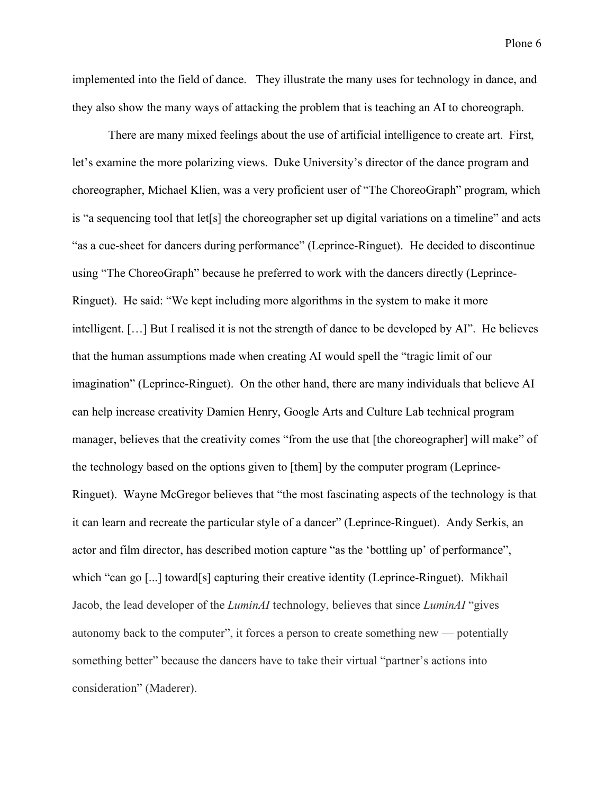implemented into the field of dance. They illustrate the many uses for technology in dance, and they also show the many ways of attacking the problem that is teaching an AI to choreograph.

There are many mixed feelings about the use of artificial intelligence to create art. First, let's examine the more polarizing views. Duke University's director of the dance program and choreographer, Michael Klien, was a very proficient user of "The ChoreoGraph" program, which is "a sequencing tool that let[s] the choreographer set up digital variations on a timeline" and acts "as a cue-sheet for dancers during performance" (Leprince-Ringuet). He decided to discontinue using "The ChoreoGraph" because he preferred to work with the dancers directly (Leprince-Ringuet). He said: "We kept including more algorithms in the system to make it more intelligent. […] But I realised it is not the strength of dance to be developed by AI". He believes that the human assumptions made when creating AI would spell the "tragic limit of our imagination" (Leprince-Ringuet). On the other hand, there are many individuals that believe AI can help increase creativity Damien Henry, Google Arts and Culture Lab technical program manager, believes that the creativity comes "from the use that [the choreographer] will make" of the technology based on the options given to [them] by the computer program (Leprince-Ringuet). Wayne McGregor believes that "the most fascinating aspects of the technology is that it can learn and recreate the particular style of a dancer" (Leprince-Ringuet). Andy Serkis, an actor and film director, has described motion capture "as the 'bottling up' of performance", which "can go [...] toward[s] capturing their creative identity (Leprince-Ringuet). Mikhail Jacob, the lead developer of the *LuminAI* technology, believes that since *LuminAI* "gives autonomy back to the computer", it forces a person to create something new — potentially something better" because the dancers have to take their virtual "partner's actions into consideration" (Maderer).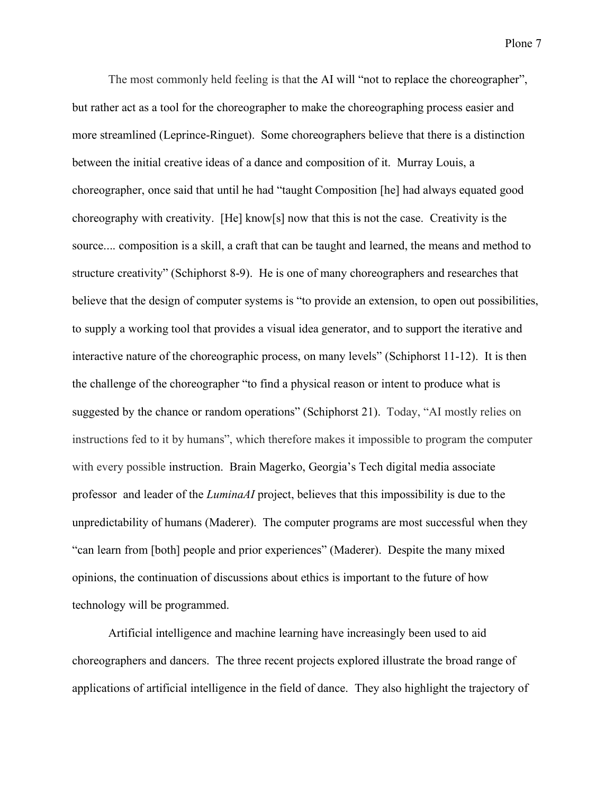Plone 7

The most commonly held feeling is that the AI will "not to replace the choreographer", but rather act as a tool for the choreographer to make the choreographing process easier and more streamlined (Leprince-Ringuet). Some choreographers believe that there is a distinction between the initial creative ideas of a dance and composition of it. Murray Louis, a choreographer, once said that until he had "taught Composition [he] had always equated good choreography with creativity. [He] know[s] now that this is not the case. Creativity is the source.... composition is a skill, a craft that can be taught and learned, the means and method to structure creativity" (Schiphorst 8-9). He is one of many choreographers and researches that believe that the design of computer systems is "to provide an extension, to open out possibilities, to supply a working tool that provides a visual idea generator, and to support the iterative and interactive nature of the choreographic process, on many levels" (Schiphorst 11-12). It is then the challenge of the choreographer "to find a physical reason or intent to produce what is suggested by the chance or random operations" (Schiphorst 21). Today, "AI mostly relies on instructions fed to it by humans", which therefore makes it impossible to program the computer with every possible instruction. Brain Magerko, Georgia's Tech digital media associate professor and leader of the *LuminaAI* project, believes that this impossibility is due to the unpredictability of humans (Maderer). The computer programs are most successful when they "can learn from [both] people and prior experiences" (Maderer). Despite the many mixed opinions, the continuation of discussions about ethics is important to the future of how technology will be programmed.

Artificial intelligence and machine learning have increasingly been used to aid choreographers and dancers. The three recent projects explored illustrate the broad range of applications of artificial intelligence in the field of dance. They also highlight the trajectory of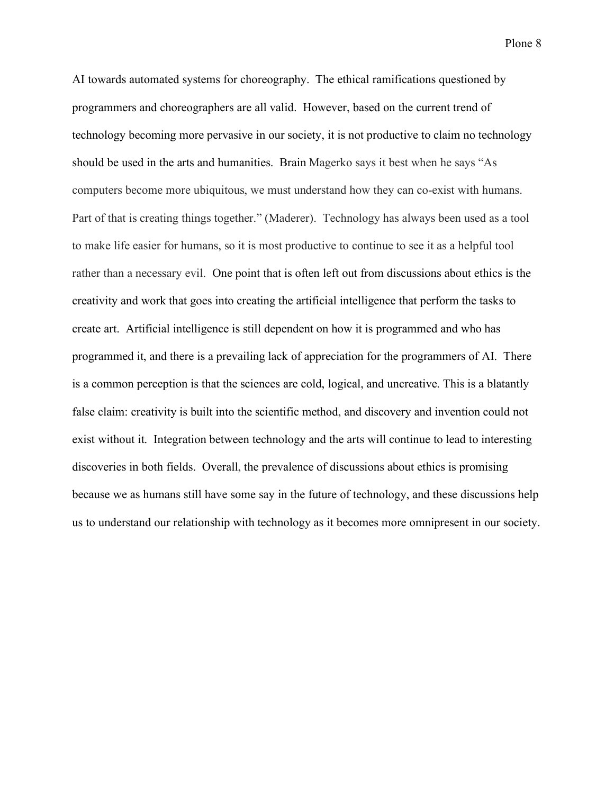Plone 8

AI towards automated systems for choreography. The ethical ramifications questioned by programmers and choreographers are all valid. However, based on the current trend of technology becoming more pervasive in our society, it is not productive to claim no technology should be used in the arts and humanities. Brain Magerko says it best when he says "As computers become more ubiquitous, we must understand how they can co-exist with humans. Part of that is creating things together." (Maderer). Technology has always been used as a tool to make life easier for humans, so it is most productive to continue to see it as a helpful tool rather than a necessary evil. One point that is often left out from discussions about ethics is the creativity and work that goes into creating the artificial intelligence that perform the tasks to create art. Artificial intelligence is still dependent on how it is programmed and who has programmed it, and there is a prevailing lack of appreciation for the programmers of AI. There is a common perception is that the sciences are cold, logical, and uncreative. This is a blatantly false claim: creativity is built into the scientific method, and discovery and invention could not exist without it. Integration between technology and the arts will continue to lead to interesting discoveries in both fields. Overall, the prevalence of discussions about ethics is promising because we as humans still have some say in the future of technology, and these discussions help us to understand our relationship with technology as it becomes more omnipresent in our society.